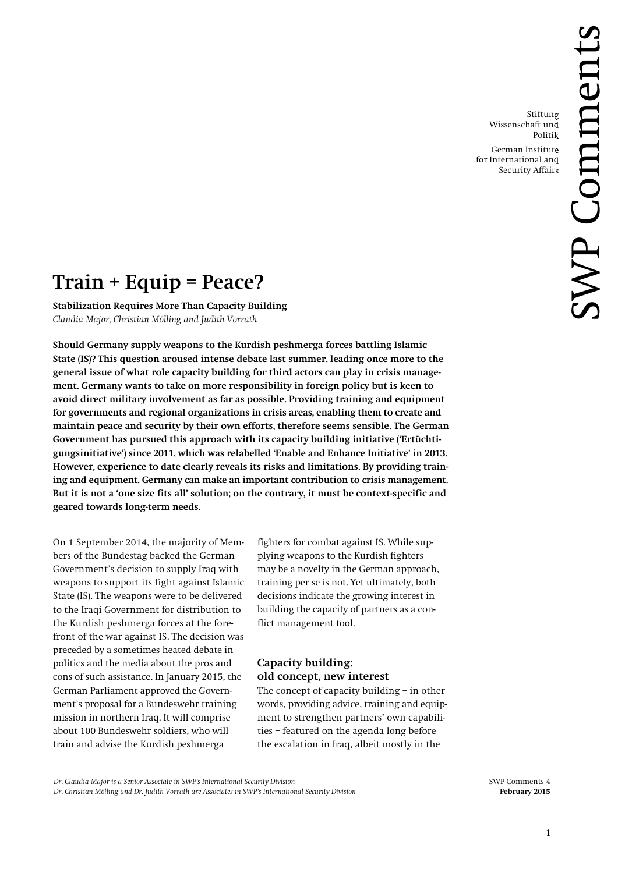Stiftung Wissenschaft und Politik German Institute for International and Security Affairs

# **Train + Equip = Peace?**

**Stabilization Requires More Than Capacity Building** *Claudia Major, Christian Mölling and Judith Vorrath*

**Should Germany supply weapons to the Kurdish peshmerga forces battling Islamic State (IS)? This question aroused intense debate last summer, leading once more to the general issue of what role capacity building for third actors can play in crisis management. Germany wants to take on more responsibility in foreign policy but is keen to avoid direct military involvement as far as possible. Providing training and equipment for governments and regional organizations in crisis areas, enabling them to create and maintain peace and security by their own efforts, therefore seems sensible. The German Government has pursued this approach with its capacity building initiative ('Ertüchtigungsinitiative') since 2011, which was relabelled 'Enable and Enhance Initiative' in 2013. However, experience to date clearly reveals its risks and limitations. By providing training and equipment, Germany can make an important contribution to crisis management. But it is not a 'one size fits all' solution; on the contrary, it must be context-specific and geared towards long-term needs.**

On 1 September 2014, the majority of Members of the Bundestag backed the German Government's decision to supply Iraq with weapons to support its fight against Islamic State (IS). The weapons were to be delivered to the Iraqi Government for distribution to the Kurdish peshmerga forces at the forefront of the war against IS. The decision was preceded by a sometimes heated debate in politics and the media about the pros and cons of such assistance. In January 2015, the German Parliament approved the Government's proposal for a Bundeswehr training mission in northern Iraq. It will comprise about 100 Bundeswehr soldiers, who will train and advise the Kurdish peshmerga

fighters for combat against IS. While supplying weapons to the Kurdish fighters may be a novelty in the German approach, training per se is not. Yet ultimately, both decisions indicate the growing interest in building the capacity of partners as a conflict management tool.

# **Capacity building: old concept, new interest**

The concept of capacity building – in other words, providing advice, training and equipment to strengthen partners' own capabilities – featured on the agenda long before the escalation in Iraq, albeit mostly in the

*Dr. Claudia Major is a Senior Associate in SWP's International Security Division* SWP Comments 4

*Dr. Christian Mölling and Dr. Judith Vorrath are Associates in SWP's International Security Division* **February 2015**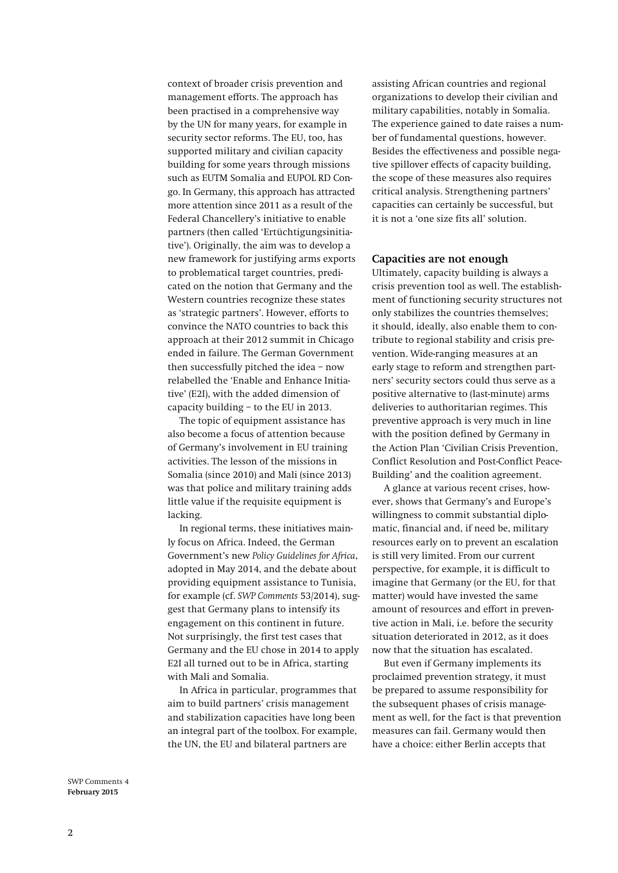context of broader crisis prevention and management efforts. The approach has been practised in a comprehensive way by the UN for many years, for example in security sector reforms. The EU, too, has supported military and civilian capacity building for some years through missions such as EUTM Somalia and EUPOL RD Congo. In Germany, this approach has attracted more attention since 2011 as a result of the Federal Chancellery's initiative to enable partners (then called 'Ertüchtigungsinitiative'). Originally, the aim was to develop a new framework for justifying arms exports to problematical target countries, predicated on the notion that Germany and the Western countries recognize these states as 'strategic partners'. However, efforts to convince the NATO countries to back this approach at their 2012 summit in Chicago ended in failure. The German Government then successfully pitched the idea – now relabelled the 'Enable and Enhance Initiative' (E2I), with the added dimension of capacity building – to the EU in 2013.

The topic of equipment assistance has also become a focus of attention because of Germany's involvement in EU training activities. The lesson of the missions in Somalia (since 2010) and Mali (since 2013) was that police and military training adds little value if the requisite equipment is lacking.

In regional terms, these initiatives mainly focus on Africa. Indeed, the German Government's new *Policy Guidelines for Africa*, adopted in May 2014, and the debate about providing equipment assistance to Tunisia, for example (cf. *SWP Comments* 53/2014), suggest that Germany plans to intensify its engagement on this continent in future. Not surprisingly, the first test cases that Germany and the EU chose in 2014 to apply E2I all turned out to be in Africa, starting with Mali and Somalia.

In Africa in particular, programmes that aim to build partners' crisis management and stabilization capacities have long been an integral part of the toolbox. For example, the UN, the EU and bilateral partners are

assisting African countries and regional organizations to develop their civilian and military capabilities, notably in Somalia. The experience gained to date raises a number of fundamental questions, however. Besides the effectiveness and possible negative spillover effects of capacity building, the scope of these measures also requires critical analysis. Strengthening partners' capacities can certainly be successful, but it is not a 'one size fits all' solution.

#### **Capacities are not enough**

Ultimately, capacity building is always a crisis prevention tool as well. The establishment of functioning security structures not only stabilizes the countries themselves; it should, ideally, also enable them to contribute to regional stability and crisis prevention. Wide-ranging measures at an early stage to reform and strengthen partners' security sectors could thus serve as a positive alternative to (last-minute) arms deliveries to authoritarian regimes. This preventive approach is very much in line with the position defined by Germany in the Action Plan 'Civilian Crisis Prevention, Conflict Resolution and Post-Conflict Peace-Building' and the coalition agreement.

A glance at various recent crises, however, shows that Germany's and Europe's willingness to commit substantial diplomatic, financial and, if need be, military resources early on to prevent an escalation is still very limited. From our current perspective, for example, it is difficult to imagine that Germany (or the EU, for that matter) would have invested the same amount of resources and effort in preventive action in Mali, i.e. before the security situation deteriorated in 2012, as it does now that the situation has escalated.

But even if Germany implements its proclaimed prevention strategy, it must be prepared to assume responsibility for the subsequent phases of crisis management as well, for the fact is that prevention measures can fail. Germany would then have a choice: either Berlin accepts that

SWP Comments 4 **February 2015**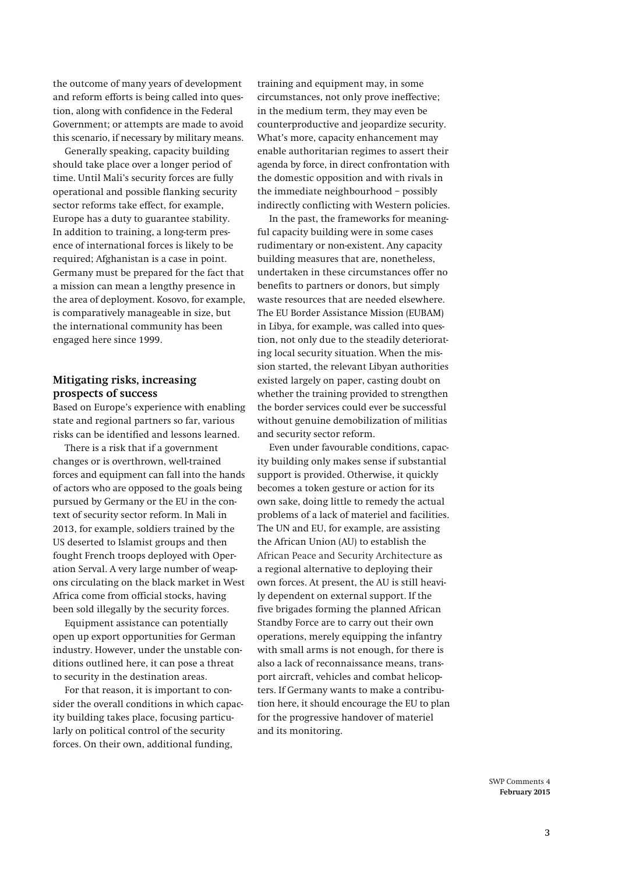the outcome of many years of development and reform efforts is being called into question, along with confidence in the Federal Government; or attempts are made to avoid this scenario, if necessary by military means.

Generally speaking, capacity building should take place over a longer period of time. Until Mali's security forces are fully operational and possible flanking security sector reforms take effect, for example, Europe has a duty to guarantee stability. In addition to training, a long-term presence of international forces is likely to be required; Afghanistan is a case in point. Germany must be prepared for the fact that a mission can mean a lengthy presence in the area of deployment. Kosovo, for example, is comparatively manageable in size, but the international community has been engaged here since 1999.

### **Mitigating risks, increasing prospects of success**

Based on Europe's experience with enabling state and regional partners so far, various risks can be identified and lessons learned.

There is a risk that if a government changes or is overthrown, well-trained forces and equipment can fall into the hands of actors who are opposed to the goals being pursued by Germany or the EU in the context of security sector reform. In Mali in 2013, for example, soldiers trained by the US deserted to Islamist groups and then fought French troops deployed with Operation Serval. A very large number of weapons circulating on the black market in West Africa come from official stocks, having been sold illegally by the security forces.

Equipment assistance can potentially open up export opportunities for German industry. However, under the unstable conditions outlined here, it can pose a threat to security in the destination areas.

For that reason, it is important to consider the overall conditions in which capacity building takes place, focusing particularly on political control of the security forces. On their own, additional funding,

training and equipment may, in some circumstances, not only prove ineffective; in the medium term, they may even be counterproductive and jeopardize security. What's more, capacity enhancement may enable authoritarian regimes to assert their agenda by force, in direct confrontation with the domestic opposition and with rivals in the immediate neighbourhood – possibly indirectly conflicting with Western policies.

In the past, the frameworks for meaningful capacity building were in some cases rudimentary or non-existent. Any capacity building measures that are, nonetheless, undertaken in these circumstances offer no benefits to partners or donors, but simply waste resources that are needed elsewhere. The EU Border Assistance Mission (EUBAM) in Libya, for example, was called into question, not only due to the steadily deteriorating local security situation. When the mission started, the relevant Libyan authorities existed largely on paper, casting doubt on whether the training provided to strengthen the border services could ever be successful without genuine demobilization of militias and security sector reform.

Even under favourable conditions, capacity building only makes sense if substantial support is provided. Otherwise, it quickly becomes a token gesture or action for its own sake, doing little to remedy the actual problems of a lack of materiel and facilities. The UN and EU, for example, are assisting the African Union (AU) to establish the African Peace and Security Architecture as a regional alternative to deploying their own forces. At present, the AU is still heavily dependent on external support. If the five brigades forming the planned African Standby Force are to carry out their own operations, merely equipping the infantry with small arms is not enough, for there is also a lack of reconnaissance means, transport aircraft, vehicles and combat helicopters. If Germany wants to make a contribution here, it should encourage the EU to plan for the progressive handover of materiel and its monitoring.

> SWP Comments 4 **February 2015**